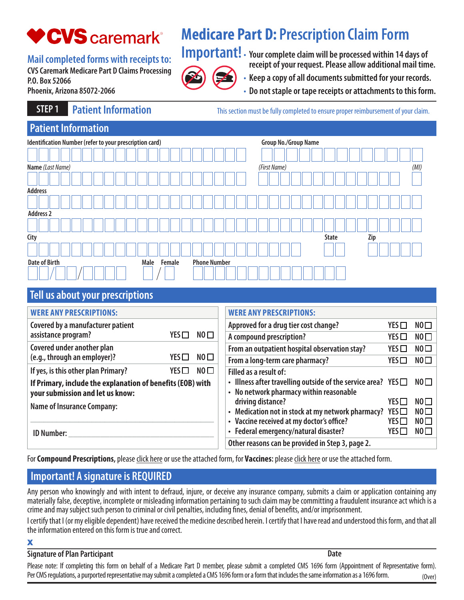# **♥CVS** caremark®

# **Medicare Part D: Prescription Claim Form**

**Mail completed forms with receipts to:**

**CVS Caremark Medicare Part D Claims Processing P.O. Box 52066 Phoenix, Arizona 85072-2066** 

**Important!** • **Your complete claim will be processed within 14 days of receipt of your request. Please allow additional mail time.**

- 
- **Keep a copy of all documents submitted for your records.** •
- **Do not staple or tape receipts or attachments to this form.** •

**STEP 1 Patient Information This section must be fully completed to ensure proper reimbursement of your claim.** 

| <b>Patient Information</b>                              |                |                             |                     |  |  |  |  |  |  |
|---------------------------------------------------------|----------------|-----------------------------|---------------------|--|--|--|--|--|--|
| Identification Number (refer to your prescription card) |                | <b>Group No./Group Name</b> |                     |  |  |  |  |  |  |
|                                                         |                |                             |                     |  |  |  |  |  |  |
| Name (Last Name)                                        |                | (First Name)                | (MI)                |  |  |  |  |  |  |
|                                                         |                |                             |                     |  |  |  |  |  |  |
| <b>Address</b>                                          |                |                             |                     |  |  |  |  |  |  |
|                                                         |                |                             |                     |  |  |  |  |  |  |
| <b>Address 2</b>                                        |                |                             |                     |  |  |  |  |  |  |
|                                                         |                |                             |                     |  |  |  |  |  |  |
| City                                                    |                |                             | Zip<br><b>State</b> |  |  |  |  |  |  |
|                                                         |                |                             |                     |  |  |  |  |  |  |
| <b>Date of Birth</b>                                    | Female<br>Male | <b>Phone Number</b>         |                     |  |  |  |  |  |  |
|                                                         |                |                             |                     |  |  |  |  |  |  |

## **Tell us about your prescriptions**

| <b>WERE ANY PRESCRIPTIONS:</b>                                                                                                      |            |                 | <b>WERE ANY PRESCRIPTIONS:</b>                                                                                |               |                 |
|-------------------------------------------------------------------------------------------------------------------------------------|------------|-----------------|---------------------------------------------------------------------------------------------------------------|---------------|-----------------|
| Covered by a manufacturer patient                                                                                                   |            |                 | Approved for a drug tier cost change?                                                                         | YES $\Box$    | NO              |
| assistance program?                                                                                                                 | YES        | $NO$ $\square$  | A compound prescription?                                                                                      | YES           | NO              |
| Covered under another plan                                                                                                          |            |                 | From an outpatient hospital observation stay?                                                                 | YES           | NO <sub>1</sub> |
| (e.g., through an employer)?                                                                                                        | YES $\Box$ | NO <sub>1</sub> | From a long-term care pharmacy?                                                                               | YES $\square$ | NO              |
| If yes, is this other plan Primary?                                                                                                 | YES        | NO <sub>1</sub> | Filled as a result of:                                                                                        |               |                 |
| If Primary, include the explanation of benefits (EOB) with<br>your submission and let us know:<br><b>Name of Insurance Company:</b> |            |                 | • Illness after travelling outside of the service area? YES $\Box$<br>• No network pharmacy within reasonable |               | NO              |
|                                                                                                                                     |            |                 | driving distance?                                                                                             | YES           | NO              |
|                                                                                                                                     |            |                 | • Medication not in stock at my network pharmacy?                                                             | YES $\Box$    | NO              |
|                                                                                                                                     |            |                 | • Vaccine received at my doctor's office?                                                                     | YES           | NO              |
| <b>ID Number:</b>                                                                                                                   |            |                 | • Federal emergency/natural disaster?                                                                         | YES ITT       | NO              |
|                                                                                                                                     |            |                 | Other reasons can be provided in Step 3, page 2.                                                              |               |                 |

For**Compound Prescriptions,** please click here or use the attached form, for **Vaccines:** please click here or use the attached form.

# **Important! A signature is REQUIRED**

Any person who knowingly and with intent to defraud, injure, or deceive any insurance company, submits a claim or application containing any materially false, deceptive, incomplete or misleading information pertaining to such claim may be committing a fraudulent insurance act which is a crime and may subject such person to criminal or civil penalties, including fines, denial of benefits, and/or imprisonment.

I certify that I (or my eligible dependent) have received the medicine described herein. I certify that I have read and understood this form, and that all the information entered on this form is true and correct.

### X

### **Signature of Plan Participant Date**

Please note: If completing this form on behalf of a Medicare Part D member, please submit a completed CMS 1696 form (Appointment of Representative form). Per CMS regulations, a purported representative may submit a completed a CMS 1696 form or a form that includes the same information as a 1696 form. (Over)